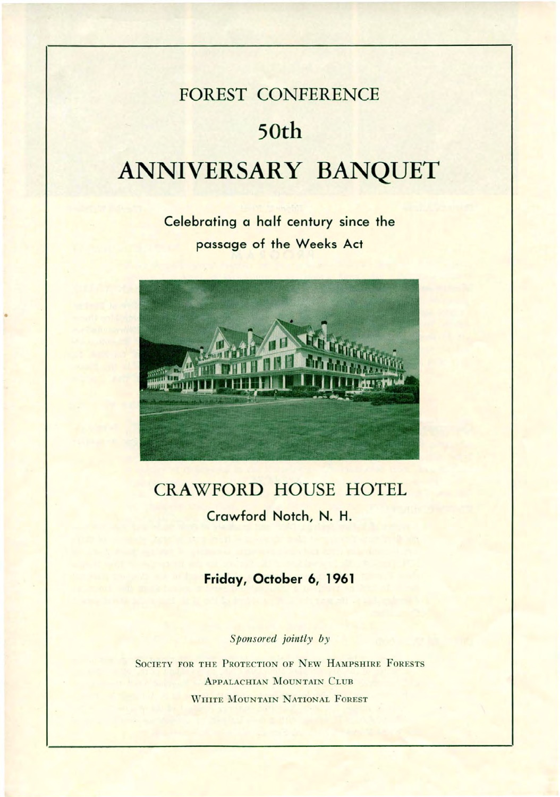# **FOREST CONFERENCE 50th ANNIVERSARY BANQUET**

**Celebrating a half century since the passage of the Weeks Act**



•

## **CRAWFORD HOUSE HOTEL Crawford Notch, N. H.**

### **Friday, October 6, 1961**

*Sponsored jointly by*

SOCIETY FOR THE PROTECTION OF NEW HAMPSHIRE FORESTS ApPALACHIAN MOUNTAIN CLUB WHITE MOUNTAIN NATIONAL FOREST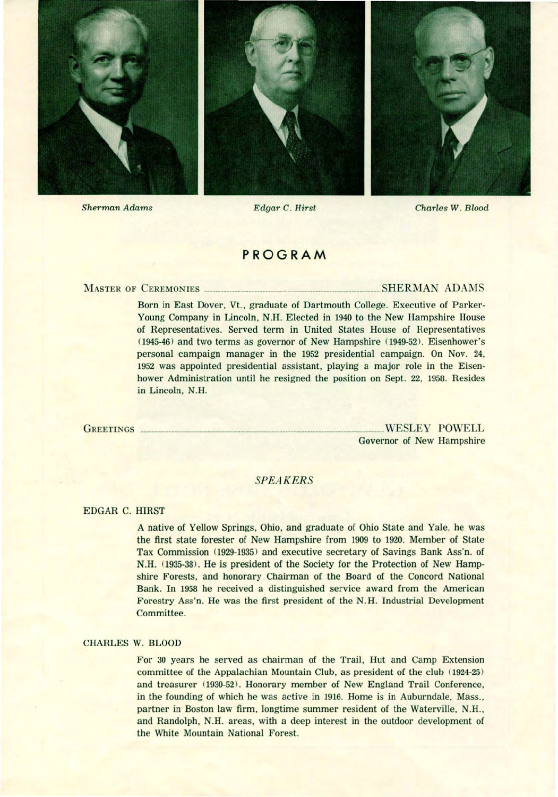

Sherman Adams Edgar C. Hirst

#### Charles W. Blood

#### **PROGRAM**

MASTER OF CEREMONIES SHERMAN ADAMS

Born in East Dover, Vt., graduate of Dartmouth College. Executive of Parker-Young Company in Lincoln, N.H. Elected in 1940 to the New Hampshire House of Representatives. Served term in United States House of Representatives (1945-46) and two terms as governor of New Hampshire (1949-52). Eisenhower's personal campaign manager in the 1952 presidential campaign. On Nov. 24, 1952 was appointed presidential assistant, playing a major role in the Eisenhower Administration until he resigned the position on Sept. 22, 1958. Resides in Lincoln, N.H.

GREETINGS WESLEY POWELL Governor of New Hampshire

#### *SPEAKERS*

#### EDGAR C. HIRST

A native of Yellow Springs, Ohio, and graduate of Ohio State and Yale, he was the first state forester of New Hampshire from 1909 to 1920. Member of State Tax Commission (1929-1935) and executive secretary of Savings Bank Ass'n. of N.H. (1935-38). He is president of the Society for the Protection of New Hampshire Forests, and honorary Chairman of the Board of the Concord National Bank. In 1958 he received a distinguished service award from the American Forestry Ass'n. He was the first president of the N. H. Industrial Development Committee.

#### CHARLES W. BLOOD

For 30 years he served as chairman of the Trail, Hut and Camp Extension committee of the Appalachian Mountain Club, as president of the club  $(1924-25)$ and treasurer (1930-52). Honorary member of New England Trail Conference, in the founding of which he was active in 1916. Home is in Auburndale, Mass., partner in Boston law firm, longtime summer resident of the Waterville, N.H., and Randolph, N.H. areas, with a deep interest in the outdoor development of the White Mountain National Forest.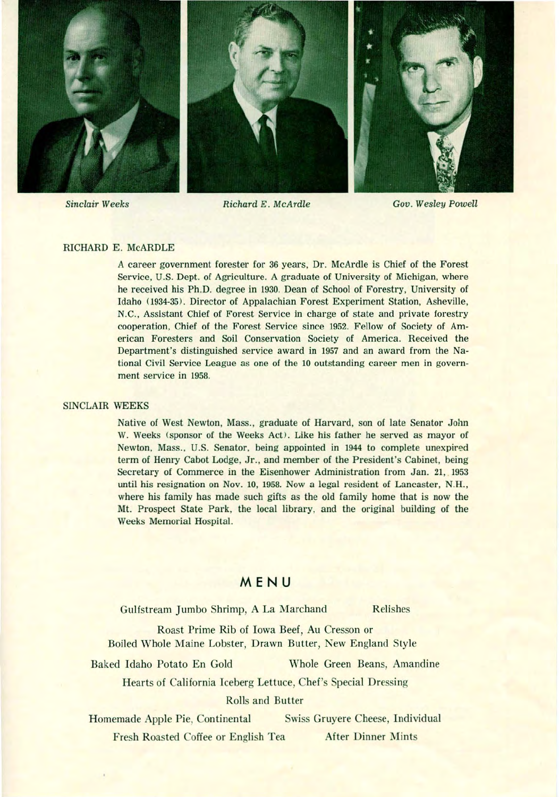

#### RICHARD E. McARDLE

A career government forester for 36 years, Dr. McArdle is Chief of the Forest Service, U.S. Dept. of Agriculture. A graduate of University of Michigan, where he received his Ph.D. degree in 1930. Dean of School of Forestry, University of Idaho (1934-35). Director of Appalachian Forest Experiment Station, Asheville, N.C., Assistant Chief of Forest Service in charge of state and private forestry cooperation, Chief of the Forest Service since 1952. Fellow of Society of American Foresters and Soil Conservation Society of America. Received the Department's distinguished service award in 1957 and an award from the National Civil Service League as one of the 10 outstanding career men in government service in 1958.

#### SINCLAIR WEEKS

Native of West Newton, Mass., graduate of Harvard, son of late Senator John W. Weeks (sponsor of the Weeks Act). Like his father he served as mayor of Newton, Mass., U.S. Senator, being appointed in 1944 to complete unexpired term of Henry Cabot Lodge, Jr., and member of the President's Cabinet, being Secretary of Commerce in the Eisenhower Administration from Jan. 21, 1953 until his resignation on Nov. 10, 1958. Now a legal resident of Lancaster, N.H., where his family has made such gifts as the old family home that is now the Mt. Prospect State Park, the local library, and the original building of the Weeks Memorial Hospital.

#### **MENU**

Gulfstream Jumbo Shrimp, A La Marchand Relishes

Roast Prime Rib of Iowa Beef, Au Cresson or Boiled Whole Maine Lobster, Drawn Butter, New England Style

Baked Idaho Potato En Gold Whole Green Beans, Amandine

Hearts of California Iceberg Lettuce, Chef's Special Dressing

#### Rolls and Butter

Homemade Apple Pie, Continental Swiss Gruyere Cheese, Individual Fresh Roasted Coffee or English Tea After Dinner Mints